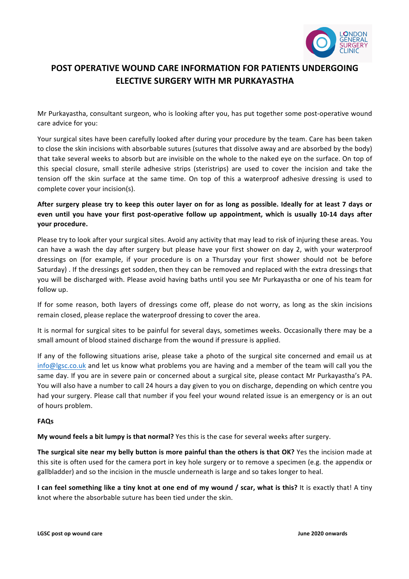

# **POST OPERATIVE WOUND CARE INFORMATION FOR PATIENTS UNDERGOING ELECTIVE SURGERY WITH MR PURKAYASTHA**

Mr Purkayastha, consultant surgeon, who is looking after you, has put together some post-operative wound care advice for you:

Your surgical sites have been carefully looked after during your procedure by the team. Care has been taken to close the skin incisions with absorbable sutures (sutures that dissolve away and are absorbed by the body) that take several weeks to absorb but are invisible on the whole to the naked eye on the surface. On top of this special closure, small sterile adhesive strips (steristrips) are used to cover the incision and take the tension off the skin surface at the same time. On top of this a waterproof adhesive dressing is used to complete cover your incision(s).

## After surgery please try to keep this outer layer on for as long as possible. Ideally for at least 7 days or even until you have your first post-operative follow up appointment, which is usually 10-14 days after **your procedure.**

Please try to look after your surgical sites. Avoid any activity that may lead to risk of injuring these areas. You can have a wash the day after surgery but please have your first shower on day 2, with your waterproof dressings on (for example, if your procedure is on a Thursday your first shower should not be before Saturday). If the dressings get sodden, then they can be removed and replaced with the extra dressings that you will be discharged with. Please avoid having baths until you see Mr Purkayastha or one of his team for follow up.

If for some reason, both layers of dressings come off, please do not worry, as long as the skin incisions remain closed, please replace the waterproof dressing to cover the area.

It is normal for surgical sites to be painful for several days, sometimes weeks. Occasionally there may be a small amount of blood stained discharge from the wound if pressure is applied.

If any of the following situations arise, please take a photo of the surgical site concerned and email us at  $info@lgsc.co.uk$  and let us know what problems you are having and a member of the team will call you the same day. If you are in severe pain or concerned about a surgical site, please contact Mr Purkayastha's PA. You will also have a number to call 24 hours a day given to you on discharge, depending on which centre you had your surgery. Please call that number if you feel your wound related issue is an emergency or is an out of hours problem.

### **FAQs**

My wound feels a bit lumpy is that normal? Yes this is the case for several weeks after surgery.

**The surgical site near my belly button is more painful than the others is that OK?** Yes the incision made at this site is often used for the camera port in key hole surgery or to remove a specimen (e.g. the appendix or gallbladder) and so the incision in the muscle underneath is large and so takes longer to heal.

**I** can feel something like a tiny knot at one end of my wound / scar, what is this? It is exactly that! A tiny knot where the absorbable suture has been tied under the skin.